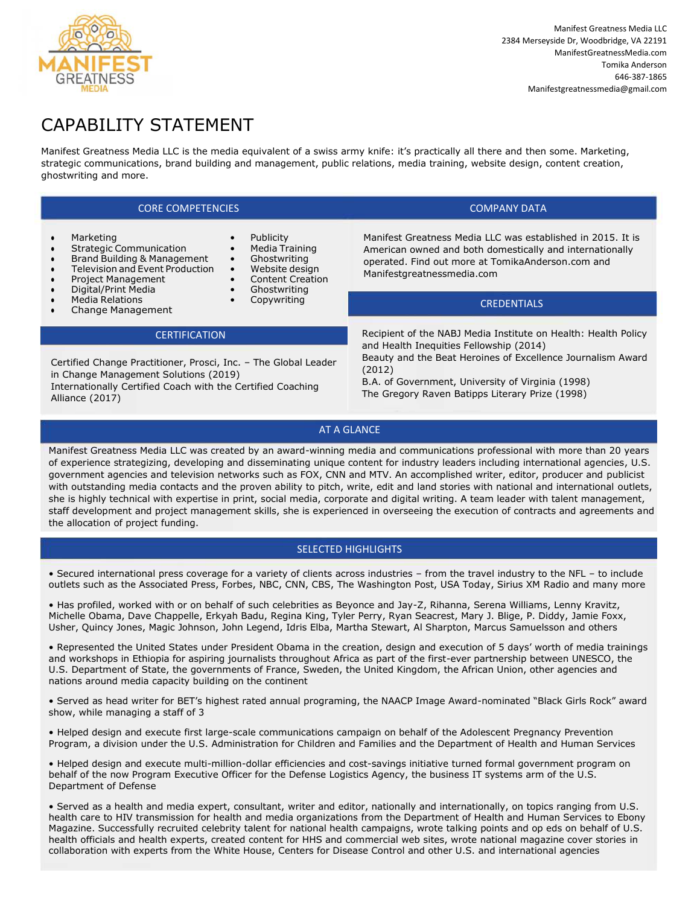

# CAPABILITY STATEMENT

Manifest Greatness Media LLC is the media equivalent of a swiss army knife: it's practically all there and then some. Marketing, strategic communications, brand building and management, public relations, media training, website design, content creation, ghostwriting and more.

> **Publicity** • Media Training • Ghostwriting • Website design • Content Creation **Ghostwriting** • Copywriting

## CORE COMPETENCIES COMPANY DATA

- **Marketing**
- **Strategic Communication**
- Brand Building & Management
- Television and Event Production
- Project Management
- Digital/Print Media
- Media Relations
- Change Management

#### **CERTIFICATION**

Certified Change Practitioner, Prosci, Inc. – The Global Leader in Change Management Solutions (2019)

Internationally Certified Coach with the Certified Coaching Alliance (2017)

Manifest Greatness Media LLC was established in 2015. It is American owned and both domestically and internationally operated. Find out more at TomikaAnderson.com and Manifestgreatnessmedia.com

### **CREDENTIALS**

Recipient of the NABJ Media Institute on Health: Health Policy and Health Inequities Fellowship (2014) Beauty and the Beat Heroines of Excellence Journalism Award (2012)

B.A. of Government, University of Virginia (1998) The Gregory Raven Batipps Literary Prize (1998)

### AT A GLANCE

Manifest Greatness Media LLC was created by an award-winning media and communications professional with more than 20 years of experience strategizing, developing and disseminating unique content for industry leaders including international agencies, U.S. government agencies and television networks such as FOX, CNN and MTV. An accomplished writer, editor, producer and publicist with outstanding media contacts and the proven ability to pitch, write, edit and land stories with national and international outlets, she is highly technical with expertise in print, social media, corporate and digital writing. A team leader with talent management, staff development and project management skills, she is experienced in overseeing the execution of contracts and agreements and the allocation of project funding.

#### SELECTED HIGHLIGHTS

• Secured international press coverage for a variety of clients across industries – from the travel industry to the NFL – to include outlets such as the Associated Press, Forbes, NBC, CNN, CBS, The Washington Post, USA Today, Sirius XM Radio and many more

• Has profiled, worked with or on behalf of such celebrities as Beyonce and Jay-Z, Rihanna, Serena Williams, Lenny Kravitz, Michelle Obama, Dave Chappelle, Erkyah Badu, Regina King, Tyler Perry, Ryan Seacrest, Mary J. Blige, P. Diddy, Jamie Foxx, Usher, Quincy Jones, Magic Johnson, John Legend, Idris Elba, Martha Stewart, Al Sharpton, Marcus Samuelsson and others

• Represented the United States under President Obama in the creation, design and execution of 5 days' worth of media trainings and workshops in Ethiopia for aspiring journalists throughout Africa as part of the first-ever partnership between UNESCO, the U.S. Department of State, the governments of France, Sweden, the United Kingdom, the African Union, other agencies and nations around media capacity building on the continent

• Served as head writer for BET's highest rated annual programing, the NAACP Image Award-nominated "Black Girls Rock" award show, while managing a staff of 3

• Helped design and execute first large-scale communications campaign on behalf of the Adolescent Pregnancy Prevention Program, a division under the U.S. Administration for Children and Families and the Department of Health and Human Services

• Helped design and execute multi-million-dollar efficiencies and cost-savings initiative turned formal government program on behalf of the now Program Executive Officer for the Defense Logistics Agency, the business IT systems arm of the U.S. Department of Defense

• Served as a health and media expert, consultant, writer and editor, nationally and internationally, on topics ranging from U.S. health care to HIV transmission for health and media organizations from the Department of Health and Human Services to Ebony Magazine. Successfully recruited celebrity talent for national health campaigns, wrote talking points and op eds on behalf of U.S. health officials and health experts, created content for HHS and commercial web sites, wrote national magazine cover stories in collaboration with experts from the White House, Centers for Disease Control and other U.S. and international agencies